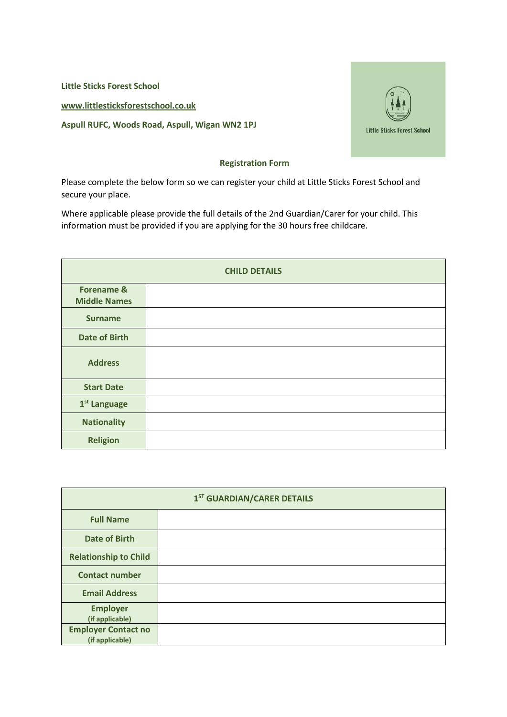**Little Sticks Forest School [www.littlesticksforestschool.co.uk](http://www.littlesticksforestschool.co.uk/) Aspull RUFC, Woods Road, Aspull, Wigan WN2 1PJ**



## **Registration Form**

Please complete the below form so we can register your child at Little Sticks Forest School and secure your place.

Where applicable please provide the full details of the 2nd Guardian/Carer for your child. This information must be provided if you are applying for the 30 hours free childcare.

| <b>CHILD DETAILS</b>                         |  |  |
|----------------------------------------------|--|--|
| <b>Forename &amp;</b><br><b>Middle Names</b> |  |  |
| <b>Surname</b>                               |  |  |
| <b>Date of Birth</b>                         |  |  |
| <b>Address</b>                               |  |  |
| <b>Start Date</b>                            |  |  |
| 1 <sup>st</sup> Language                     |  |  |
| <b>Nationality</b>                           |  |  |
| <b>Religion</b>                              |  |  |

| 1 <sup>ST</sup> GUARDIAN/CARER DETAILS        |  |  |
|-----------------------------------------------|--|--|
| <b>Full Name</b>                              |  |  |
| <b>Date of Birth</b>                          |  |  |
| <b>Relationship to Child</b>                  |  |  |
| <b>Contact number</b>                         |  |  |
| <b>Email Address</b>                          |  |  |
| <b>Employer</b><br>(if applicable)            |  |  |
| <b>Employer Contact no</b><br>(if applicable) |  |  |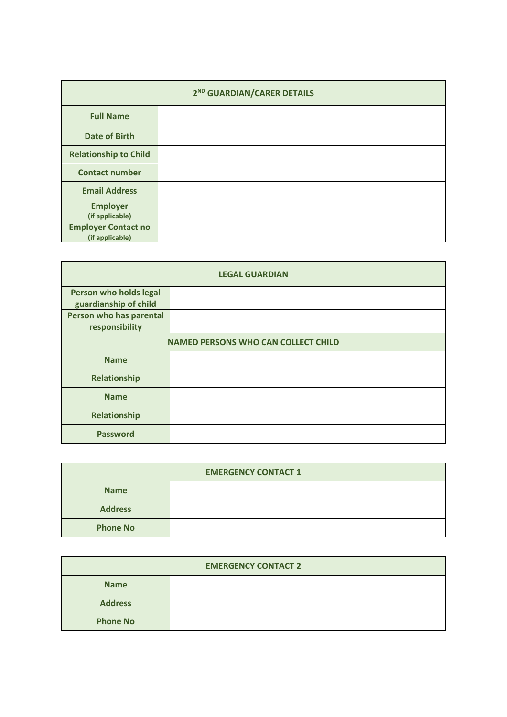| 2 <sup>ND</sup> GUARDIAN/CARER DETAILS        |  |  |
|-----------------------------------------------|--|--|
| <b>Full Name</b>                              |  |  |
| <b>Date of Birth</b>                          |  |  |
| <b>Relationship to Child</b>                  |  |  |
| <b>Contact number</b>                         |  |  |
| <b>Email Address</b>                          |  |  |
| <b>Employer</b><br>(if applicable)            |  |  |
| <b>Employer Contact no</b><br>(if applicable) |  |  |

| <b>LEGAL GUARDIAN</b>                           |  |  |  |
|-------------------------------------------------|--|--|--|
| Person who holds legal<br>guardianship of child |  |  |  |
| Person who has parental<br>responsibility       |  |  |  |
| <b>NAMED PERSONS WHO CAN COLLECT CHILD</b>      |  |  |  |
| <b>Name</b>                                     |  |  |  |
| Relationship                                    |  |  |  |
| <b>Name</b>                                     |  |  |  |
| Relationship                                    |  |  |  |
| <b>Password</b>                                 |  |  |  |

| <b>EMERGENCY CONTACT 1</b> |  |  |
|----------------------------|--|--|
| <b>Name</b>                |  |  |
| <b>Address</b>             |  |  |
| <b>Phone No</b>            |  |  |

| <b>EMERGENCY CONTACT 2</b> |  |  |  |
|----------------------------|--|--|--|
| <b>Name</b>                |  |  |  |
| <b>Address</b>             |  |  |  |
| <b>Phone No</b>            |  |  |  |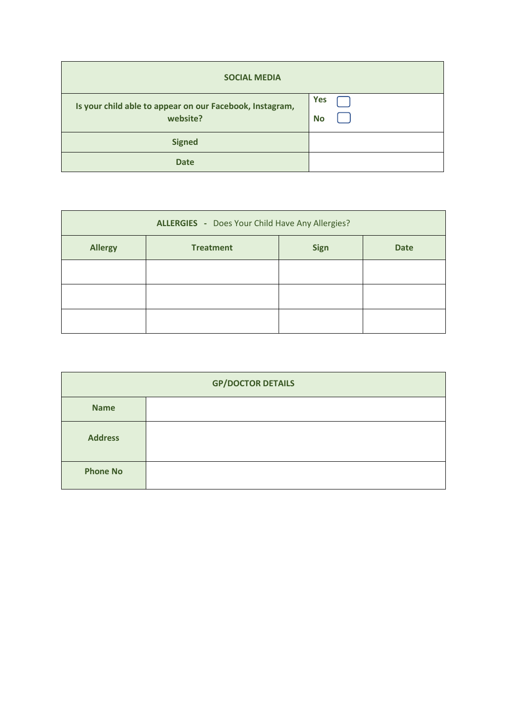| <b>SOCIAL MEDIA</b>                                                  |                         |
|----------------------------------------------------------------------|-------------------------|
| Is your child able to appear on our Facebook, Instagram,<br>website? | <b>Yes</b><br><b>No</b> |
| <b>Signed</b>                                                        |                         |
| <b>Date</b>                                                          |                         |

| <b>ALLERGIES</b> - Does Your Child Have Any Allergies? |                  |             |             |
|--------------------------------------------------------|------------------|-------------|-------------|
| <b>Allergy</b>                                         | <b>Treatment</b> | <b>Sign</b> | <b>Date</b> |
|                                                        |                  |             |             |
|                                                        |                  |             |             |
|                                                        |                  |             |             |

| <b>GP/DOCTOR DETAILS</b> |  |  |
|--------------------------|--|--|
| <b>Name</b>              |  |  |
| <b>Address</b>           |  |  |
| <b>Phone No</b>          |  |  |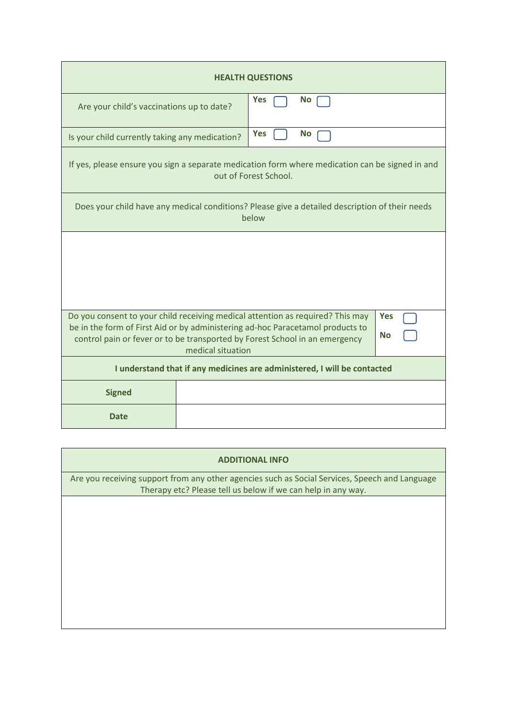| <b>HEALTH QUESTIONS</b>                                                                                                                                                                         |  |            |           |  |
|-------------------------------------------------------------------------------------------------------------------------------------------------------------------------------------------------|--|------------|-----------|--|
| Are your child's vaccinations up to date?                                                                                                                                                       |  | <b>Yes</b> | <b>No</b> |  |
| Is your child currently taking any medication?                                                                                                                                                  |  | <b>Yes</b> | <b>No</b> |  |
| If yes, please ensure you sign a separate medication form where medication can be signed in and<br>out of Forest School.                                                                        |  |            |           |  |
| Does your child have any medical conditions? Please give a detailed description of their needs<br>below                                                                                         |  |            |           |  |
|                                                                                                                                                                                                 |  |            |           |  |
|                                                                                                                                                                                                 |  |            |           |  |
|                                                                                                                                                                                                 |  |            |           |  |
| Do you consent to your child receiving medical attention as required? This may<br><b>Yes</b>                                                                                                    |  |            |           |  |
| be in the form of First Aid or by administering ad-hoc Paracetamol products to<br><b>No</b><br>control pain or fever or to be transported by Forest School in an emergency<br>medical situation |  |            |           |  |
| I understand that if any medicines are administered, I will be contacted                                                                                                                        |  |            |           |  |
| <b>Signed</b>                                                                                                                                                                                   |  |            |           |  |
| <b>Date</b>                                                                                                                                                                                     |  |            |           |  |

| <b>ADDITIONAL INFO</b>                                                                                                                                         |  |  |  |
|----------------------------------------------------------------------------------------------------------------------------------------------------------------|--|--|--|
| Are you receiving support from any other agencies such as Social Services, Speech and Language<br>Therapy etc? Please tell us below if we can help in any way. |  |  |  |
|                                                                                                                                                                |  |  |  |
|                                                                                                                                                                |  |  |  |
|                                                                                                                                                                |  |  |  |
|                                                                                                                                                                |  |  |  |
|                                                                                                                                                                |  |  |  |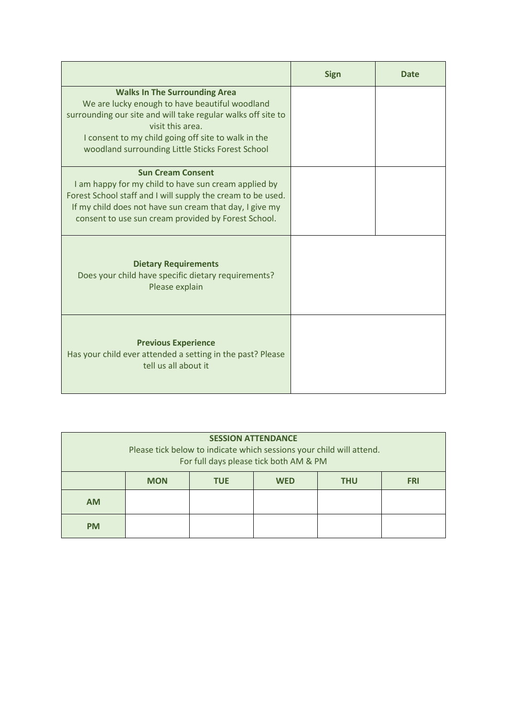|                                                                                                                                                                                                                                                                                       | <b>Sign</b> | Date |
|---------------------------------------------------------------------------------------------------------------------------------------------------------------------------------------------------------------------------------------------------------------------------------------|-------------|------|
| <b>Walks In The Surrounding Area</b><br>We are lucky enough to have beautiful woodland<br>surrounding our site and will take regular walks off site to<br>visit this area.<br>I consent to my child going off site to walk in the<br>woodland surrounding Little Sticks Forest School |             |      |
| <b>Sun Cream Consent</b><br>I am happy for my child to have sun cream applied by<br>Forest School staff and I will supply the cream to be used.<br>If my child does not have sun cream that day, I give my<br>consent to use sun cream provided by Forest School.                     |             |      |
| <b>Dietary Requirements</b><br>Does your child have specific dietary requirements?<br>Please explain                                                                                                                                                                                  |             |      |
| <b>Previous Experience</b><br>Has your child ever attended a setting in the past? Please<br>tell us all about it                                                                                                                                                                      |             |      |

| <b>SESSION ATTENDANCE</b><br>Please tick below to indicate which sessions your child will attend.<br>For full days please tick both AM & PM |            |            |            |            |            |
|---------------------------------------------------------------------------------------------------------------------------------------------|------------|------------|------------|------------|------------|
|                                                                                                                                             | <b>MON</b> | <b>TUE</b> | <b>WED</b> | <b>THU</b> | <b>FRI</b> |
| <b>AM</b>                                                                                                                                   |            |            |            |            |            |
| <b>PM</b>                                                                                                                                   |            |            |            |            |            |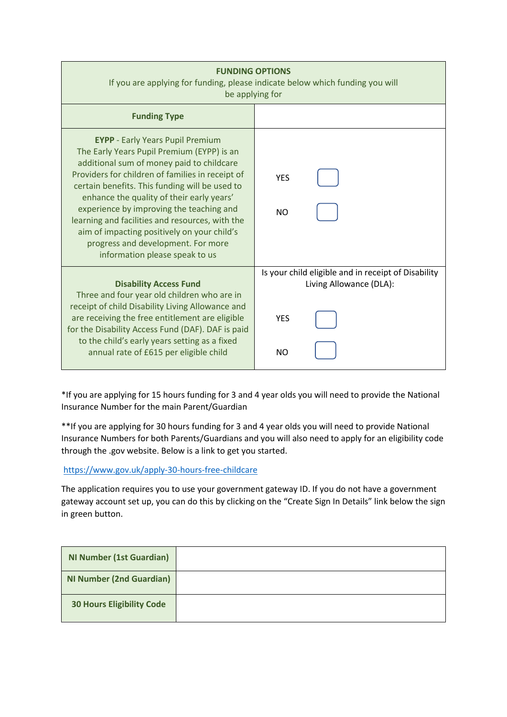| <b>FUNDING OPTIONS</b><br>If you are applying for funding, please indicate below which funding you will<br>be applying for                                                                                                                                                                                                                                                                                                                                                                                  |                                                                                |  |  |  |
|-------------------------------------------------------------------------------------------------------------------------------------------------------------------------------------------------------------------------------------------------------------------------------------------------------------------------------------------------------------------------------------------------------------------------------------------------------------------------------------------------------------|--------------------------------------------------------------------------------|--|--|--|
| <b>Funding Type</b>                                                                                                                                                                                                                                                                                                                                                                                                                                                                                         |                                                                                |  |  |  |
| <b>EYPP</b> - Early Years Pupil Premium<br>The Early Years Pupil Premium (EYPP) is an<br>additional sum of money paid to childcare<br>Providers for children of families in receipt of<br>certain benefits. This funding will be used to<br>enhance the quality of their early years'<br>experience by improving the teaching and<br>learning and facilities and resources, with the<br>aim of impacting positively on your child's<br>progress and development. For more<br>information please speak to us | <b>YES</b><br><b>NO</b>                                                        |  |  |  |
| <b>Disability Access Fund</b><br>Three and four year old children who are in                                                                                                                                                                                                                                                                                                                                                                                                                                | Is your child eligible and in receipt of Disability<br>Living Allowance (DLA): |  |  |  |
| receipt of child Disability Living Allowance and<br>are receiving the free entitlement are eligible<br>for the Disability Access Fund (DAF). DAF is paid                                                                                                                                                                                                                                                                                                                                                    | <b>YES</b>                                                                     |  |  |  |
| to the child's early years setting as a fixed<br>annual rate of £615 per eligible child                                                                                                                                                                                                                                                                                                                                                                                                                     | <b>NO</b>                                                                      |  |  |  |

\*If you are applying for 15 hours funding for 3 and 4 year olds you will need to provide the National Insurance Number for the main Parent/Guardian

\*\*If you are applying for 30 hours funding for 3 and 4 year olds you will need to provide National Insurance Numbers for both Parents/Guardians and you will also need to apply for an eligibility code through the .gov website. Below is a link to get you started.

<https://www.gov.uk/apply-30-hours-free-childcare>

The application requires you to use your government gateway ID. If you do not have a government gateway account set up, you can do this by clicking on the "Create Sign In Details" link below the sign in green button.

| <b>NI Number (1st Guardian)</b>  |  |
|----------------------------------|--|
| <b>NI Number (2nd Guardian)</b>  |  |
| <b>30 Hours Eligibility Code</b> |  |